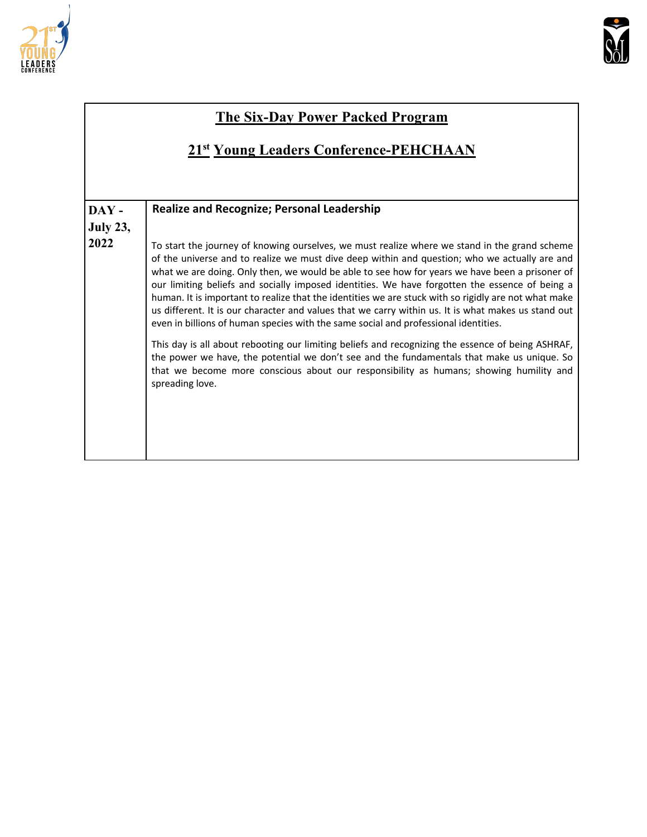



#### **The Six-Day Power Packed Program**

### **21st Young Leaders Conference-PEHCHAAN**

| DAY-            | <b>Realize and Recognize; Personal Leadership</b>                                                                                                                                                                                                                                                                                                                                                                                                                                                                                                                                                                                                                                                        |
|-----------------|----------------------------------------------------------------------------------------------------------------------------------------------------------------------------------------------------------------------------------------------------------------------------------------------------------------------------------------------------------------------------------------------------------------------------------------------------------------------------------------------------------------------------------------------------------------------------------------------------------------------------------------------------------------------------------------------------------|
| <b>July 23,</b> |                                                                                                                                                                                                                                                                                                                                                                                                                                                                                                                                                                                                                                                                                                          |
| 2022            | To start the journey of knowing ourselves, we must realize where we stand in the grand scheme<br>of the universe and to realize we must dive deep within and question; who we actually are and<br>what we are doing. Only then, we would be able to see how for years we have been a prisoner of<br>our limiting beliefs and socially imposed identities. We have forgotten the essence of being a<br>human. It is important to realize that the identities we are stuck with so rigidly are not what make<br>us different. It is our character and values that we carry within us. It is what makes us stand out<br>even in billions of human species with the same social and professional identities. |
|                 | This day is all about rebooting our limiting beliefs and recognizing the essence of being ASHRAF,<br>the power we have, the potential we don't see and the fundamentals that make us unique. So<br>that we become more conscious about our responsibility as humans; showing humility and<br>spreading love.                                                                                                                                                                                                                                                                                                                                                                                             |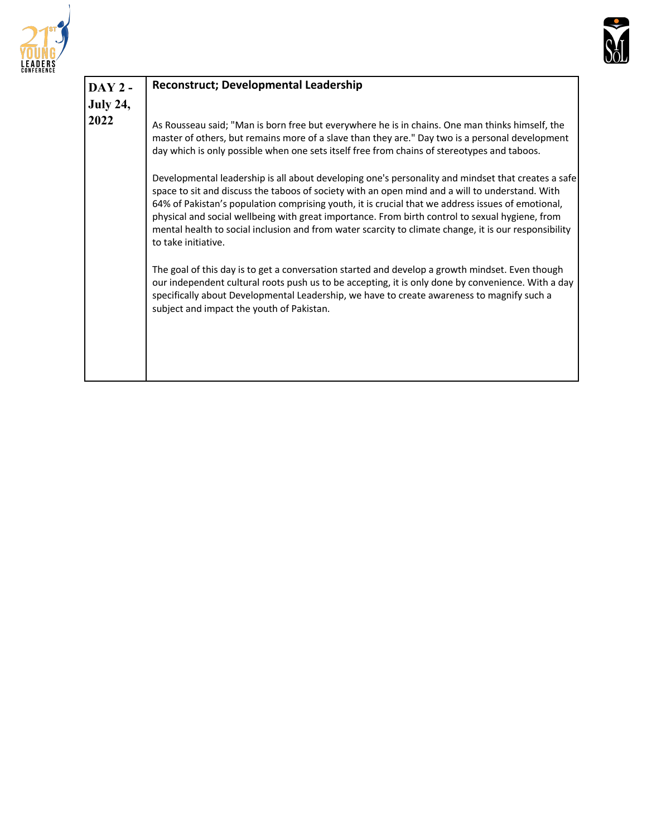



| $DAY2 -$        | <b>Reconstruct; Developmental Leadership</b>                                                                                                                                                                                                                                                                                                                                                                                                                                                                                                  |
|-----------------|-----------------------------------------------------------------------------------------------------------------------------------------------------------------------------------------------------------------------------------------------------------------------------------------------------------------------------------------------------------------------------------------------------------------------------------------------------------------------------------------------------------------------------------------------|
| <b>July 24,</b> |                                                                                                                                                                                                                                                                                                                                                                                                                                                                                                                                               |
| 2022            | As Rousseau said; "Man is born free but everywhere he is in chains. One man thinks himself, the<br>master of others, but remains more of a slave than they are." Day two is a personal development<br>day which is only possible when one sets itself free from chains of stereotypes and taboos.                                                                                                                                                                                                                                             |
|                 | Developmental leadership is all about developing one's personality and mindset that creates a safe<br>space to sit and discuss the taboos of society with an open mind and a will to understand. With<br>64% of Pakistan's population comprising youth, it is crucial that we address issues of emotional,<br>physical and social wellbeing with great importance. From birth control to sexual hygiene, from<br>mental health to social inclusion and from water scarcity to climate change, it is our responsibility<br>to take initiative. |
|                 | The goal of this day is to get a conversation started and develop a growth mindset. Even though<br>our independent cultural roots push us to be accepting, it is only done by convenience. With a day<br>specifically about Developmental Leadership, we have to create awareness to magnify such a<br>subject and impact the youth of Pakistan.                                                                                                                                                                                              |
|                 |                                                                                                                                                                                                                                                                                                                                                                                                                                                                                                                                               |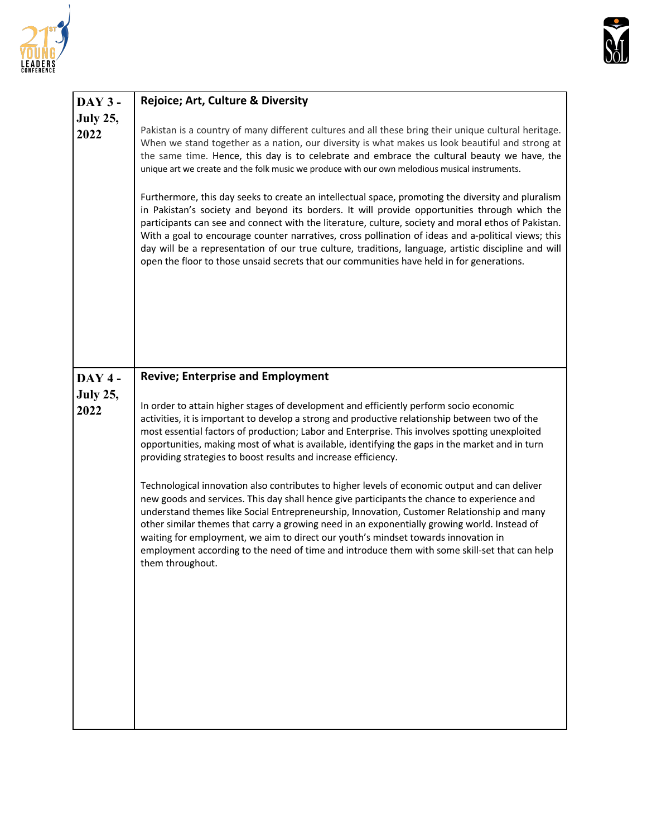



| <b>DAY 3-</b>           | Rejoice; Art, Culture & Diversity                                                                                                                                                                                                                                                                                                                                                                                                                                                                                                                                                                                                                                                                                                                                                                                                                                                                                                                                                                                                                                        |  |  |
|-------------------------|--------------------------------------------------------------------------------------------------------------------------------------------------------------------------------------------------------------------------------------------------------------------------------------------------------------------------------------------------------------------------------------------------------------------------------------------------------------------------------------------------------------------------------------------------------------------------------------------------------------------------------------------------------------------------------------------------------------------------------------------------------------------------------------------------------------------------------------------------------------------------------------------------------------------------------------------------------------------------------------------------------------------------------------------------------------------------|--|--|
| <b>July 25,</b><br>2022 | Pakistan is a country of many different cultures and all these bring their unique cultural heritage.<br>When we stand together as a nation, our diversity is what makes us look beautiful and strong at<br>the same time. Hence, this day is to celebrate and embrace the cultural beauty we have, the<br>unique art we create and the folk music we produce with our own melodious musical instruments.<br>Furthermore, this day seeks to create an intellectual space, promoting the diversity and pluralism<br>in Pakistan's society and beyond its borders. It will provide opportunities through which the<br>participants can see and connect with the literature, culture, society and moral ethos of Pakistan.<br>With a goal to encourage counter narratives, cross pollination of ideas and a-political views; this<br>day will be a representation of our true culture, traditions, language, artistic discipline and will<br>open the floor to those unsaid secrets that our communities have held in for generations.                                       |  |  |
| <b>DAY 4-</b>           | <b>Revive; Enterprise and Employment</b>                                                                                                                                                                                                                                                                                                                                                                                                                                                                                                                                                                                                                                                                                                                                                                                                                                                                                                                                                                                                                                 |  |  |
| <b>July 25,</b><br>2022 | In order to attain higher stages of development and efficiently perform socio economic<br>activities, it is important to develop a strong and productive relationship between two of the<br>most essential factors of production; Labor and Enterprise. This involves spotting unexploited<br>opportunities, making most of what is available, identifying the gaps in the market and in turn<br>providing strategies to boost results and increase efficiency.<br>Technological innovation also contributes to higher levels of economic output and can deliver<br>new goods and services. This day shall hence give participants the chance to experience and<br>understand themes like Social Entrepreneurship, Innovation, Customer Relationship and many<br>other similar themes that carry a growing need in an exponentially growing world. Instead of<br>waiting for employment, we aim to direct our youth's mindset towards innovation in<br>employment according to the need of time and introduce them with some skill-set that can help<br>them throughout. |  |  |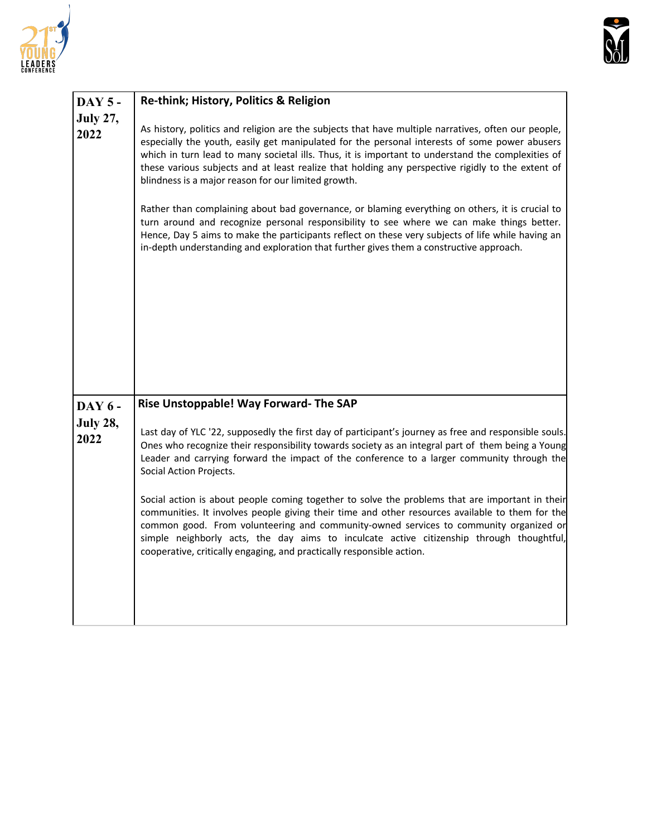



| <b>DAY 5 -</b>          | Re-think; History, Politics & Religion                                                                                                                                                                                                                                                                                                                                                                                                                                                                                                                                                                                                                                                                                                                                                                                                                                |  |  |
|-------------------------|-----------------------------------------------------------------------------------------------------------------------------------------------------------------------------------------------------------------------------------------------------------------------------------------------------------------------------------------------------------------------------------------------------------------------------------------------------------------------------------------------------------------------------------------------------------------------------------------------------------------------------------------------------------------------------------------------------------------------------------------------------------------------------------------------------------------------------------------------------------------------|--|--|
| <b>July 27,</b><br>2022 | As history, politics and religion are the subjects that have multiple narratives, often our people,<br>especially the youth, easily get manipulated for the personal interests of some power abusers<br>which in turn lead to many societal ills. Thus, it is important to understand the complexities of<br>these various subjects and at least realize that holding any perspective rigidly to the extent of<br>blindness is a major reason for our limited growth.<br>Rather than complaining about bad governance, or blaming everything on others, it is crucial to<br>turn around and recognize personal responsibility to see where we can make things better.<br>Hence, Day 5 aims to make the participants reflect on these very subjects of life while having an<br>in-depth understanding and exploration that further gives them a constructive approach. |  |  |
| <b>DAY 6 -</b>          | Rise Unstoppable! Way Forward- The SAP                                                                                                                                                                                                                                                                                                                                                                                                                                                                                                                                                                                                                                                                                                                                                                                                                                |  |  |
| <b>July 28,</b><br>2022 | Last day of YLC '22, supposedly the first day of participant's journey as free and responsible souls.<br>Ones who recognize their responsibility towards society as an integral part of them being a Young<br>Leader and carrying forward the impact of the conference to a larger community through the<br>Social Action Projects.<br>Social action is about people coming together to solve the problems that are important in their<br>communities. It involves people giving their time and other resources available to them for the<br>common good. From volunteering and community-owned services to community organized or<br>simple neighborly acts, the day aims to inculcate active citizenship through thoughtful,<br>cooperative, critically engaging, and practically responsible action.                                                               |  |  |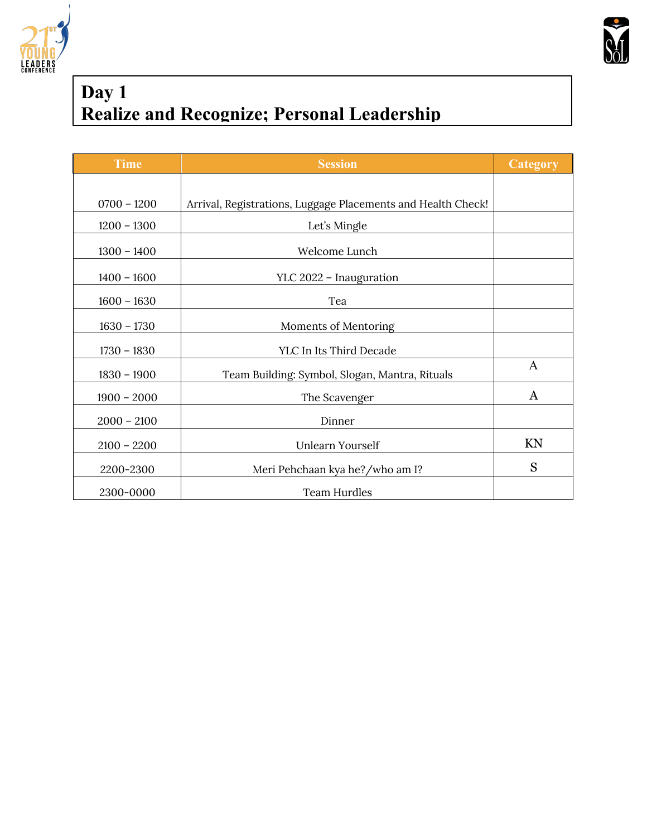



## **Day 1 Realize and Recognize; Personal Leadership**

| <b>Time</b>   | <b>Session</b>                                               | Category     |
|---------------|--------------------------------------------------------------|--------------|
|               |                                                              |              |
| $0700 - 1200$ | Arrival, Registrations, Luggage Placements and Health Check! |              |
| $1200 - 1300$ | Let's Mingle                                                 |              |
| $1300 - 1400$ | Welcome Lunch                                                |              |
| $1400 - 1600$ | YLC 2022 - Inauguration                                      |              |
| $1600 - 1630$ | Tea                                                          |              |
| $1630 - 1730$ | Moments of Mentoring                                         |              |
| $1730 - 1830$ | YLC In Its Third Decade                                      |              |
| $1830 - 1900$ | Team Building: Symbol, Slogan, Mantra, Rituals               | $\mathbf{A}$ |
| $1900 - 2000$ | The Scavenger                                                | $\mathbf{A}$ |
| $2000 - 2100$ | Dinner                                                       |              |
| $2100 - 2200$ | Unlearn Yourself                                             | KN           |
| 2200-2300     | Meri Pehchaan kya he?/who am I?                              | S            |
| 2300-0000     | Team Hurdles                                                 |              |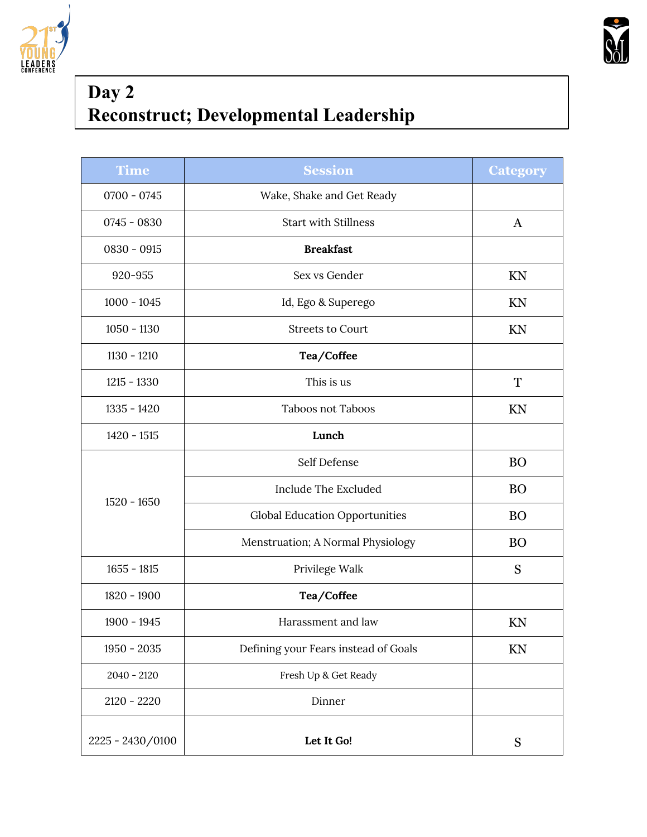



# **Day 2 Reconstruct; Developmental Leadership**

| <b>Time</b>      | <b>Session</b>                        | <b>Category</b> |
|------------------|---------------------------------------|-----------------|
| $0700 - 0745$    | Wake, Shake and Get Ready             |                 |
| $0745 - 0830$    | <b>Start with Stillness</b>           | $\mathbf{A}$    |
| $0830 - 0915$    | <b>Breakfast</b>                      |                 |
| 920-955          | Sex vs Gender                         | KN              |
| $1000 - 1045$    | Id, Ego & Superego                    | KN              |
| $1050 - 1130$    | <b>Streets to Court</b>               | KN              |
| $1130 - 1210$    | Tea/Coffee                            |                 |
| $1215 - 1330$    | This is us                            | T               |
| $1335 - 1420$    | <b>Taboos not Taboos</b>              | KN              |
| $1420 - 1515$    | Lunch                                 |                 |
|                  | Self Defense                          | <b>BO</b>       |
|                  | Include The Excluded                  | <b>BO</b>       |
| $1520 - 1650$    | <b>Global Education Opportunities</b> | <b>BO</b>       |
|                  | Menstruation; A Normal Physiology     | <b>BO</b>       |
| $1655 - 1815$    | Privilege Walk                        | S               |
| 1820 - 1900      | Tea/Coffee                            |                 |
| $1900 - 1945$    | Harassment and law                    | KN              |
| $1950 - 2035$    | Defining your Fears instead of Goals  | KN              |
| $2040 - 2120$    | Fresh Up & Get Ready                  |                 |
| $2120 - 2220$    | Dinner                                |                 |
| 2225 - 2430/0100 | Let It Go!                            | ${\bf S}$       |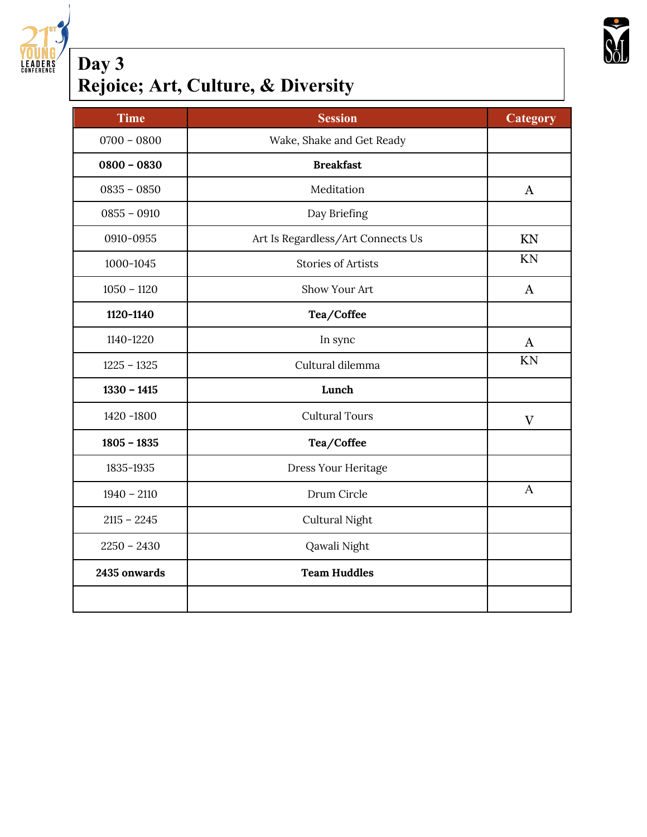

#### **Day 3 Rejoice; Art, Culture, & Diversity**

| <b>Time</b>   | <b>Session</b>                    | <b>Category</b> |
|---------------|-----------------------------------|-----------------|
| $0700 - 0800$ | Wake, Shake and Get Ready         |                 |
| $0800 - 0830$ | <b>Breakfast</b>                  |                 |
| $0835 - 0850$ | Meditation                        | $\bf{A}$        |
| $0855 - 0910$ | Day Briefing                      |                 |
| 0910-0955     | Art Is Regardless/Art Connects Us | KN              |
| 1000-1045     | <b>Stories of Artists</b>         | KN              |
| $1050 - 1120$ | Show Your Art                     | $\mathbf{A}$    |
| 1120-1140     | Tea/Coffee                        |                 |
| 1140-1220     | In sync                           | A               |
| $1225 - 1325$ | Cultural dilemma                  | KN              |
| $1330 - 1415$ | Lunch                             |                 |
| 1420 -1800    | <b>Cultural Tours</b>             | $\mathbf{V}$    |
| $1805 - 1835$ | Tea/Coffee                        |                 |
| 1835-1935     | Dress Your Heritage               |                 |
| $1940 - 2110$ | Drum Circle                       | $\mathbf{A}$    |
| $2115 - 2245$ | Cultural Night                    |                 |
| $2250 - 2430$ | Qawali Night                      |                 |
| 2435 onwards  | <b>Team Huddles</b>               |                 |
|               |                                   |                 |

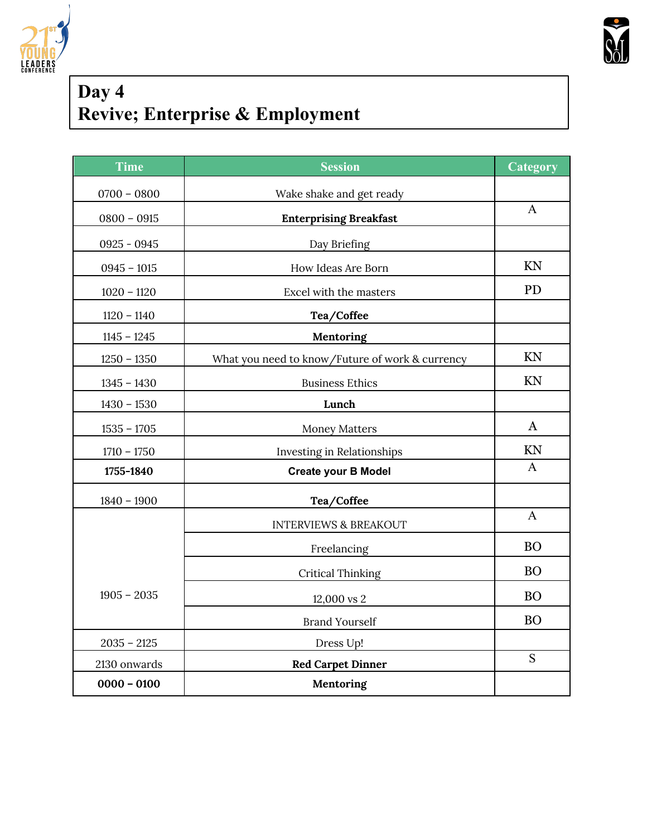



# **Day 4 Revive; Enterprise & Employment**

| Time          | <b>Session</b>                                  | <b>Category</b> |
|---------------|-------------------------------------------------|-----------------|
| $0700 - 0800$ | Wake shake and get ready                        |                 |
| $0800 - 0915$ | <b>Enterprising Breakfast</b>                   | $\mathbf{A}$    |
| $0925 - 0945$ | Day Briefing                                    |                 |
| $0945 - 1015$ | How Ideas Are Born                              | KN              |
| $1020 - 1120$ | Excel with the masters                          | <b>PD</b>       |
| $1120 - 1140$ | Tea/Coffee                                      |                 |
| $1145 - 1245$ | Mentoring                                       |                 |
| $1250 - 1350$ | What you need to know/Future of work & currency | KN              |
| $1345 - 1430$ | <b>Business Ethics</b>                          | KN              |
| $1430 - 1530$ | Lunch                                           |                 |
| $1535 - 1705$ | <b>Money Matters</b>                            | $\bf{A}$        |
| $1710 - 1750$ | Investing in Relationships                      | KN              |
| 1755-1840     | <b>Create your B Model</b>                      | $\mathbf{A}$    |
| $1840 - 1900$ | Tea/Coffee                                      |                 |
|               | <b>INTERVIEWS &amp; BREAKOUT</b>                | $\mathbf{A}$    |
|               | Freelancing                                     | <b>BO</b>       |
|               | <b>Critical Thinking</b>                        | <b>BO</b>       |
| $1905 - 2035$ | 12,000 vs 2                                     | <b>BO</b>       |
|               | <b>Brand Yourself</b>                           | <b>BO</b>       |
| $2035 - 2125$ | Dress Up!                                       |                 |
| 2130 onwards  | <b>Red Carpet Dinner</b>                        | ${\bf S}$       |
| $0000 - 0100$ | Mentoring                                       |                 |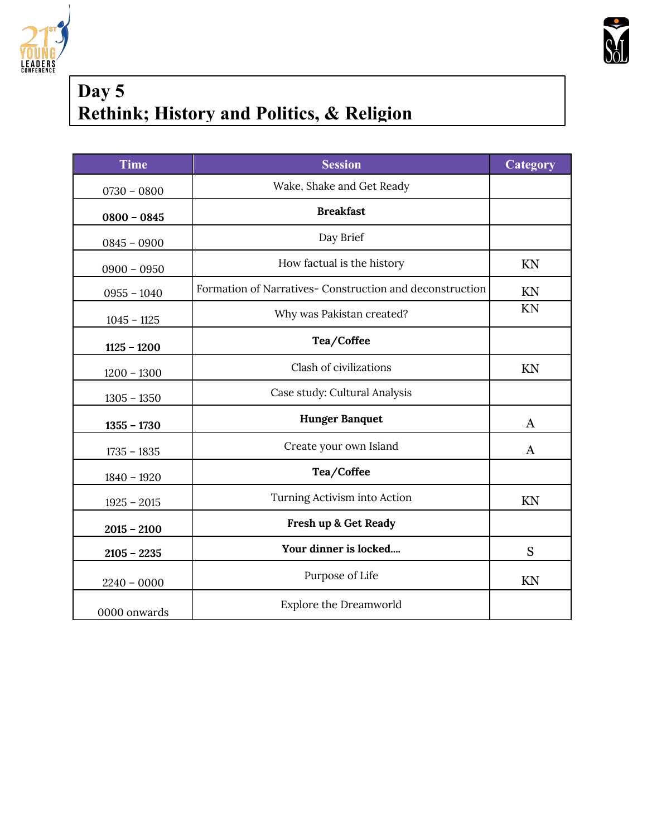



### **Day 5 Rethink; History and Politics, & Religion**

| <b>Time</b>   | <b>Session</b>                                           | Category     |
|---------------|----------------------------------------------------------|--------------|
| $0730 - 0800$ | Wake, Shake and Get Ready                                |              |
| $0800 - 0845$ | <b>Breakfast</b>                                         |              |
| $0845 - 0900$ | Day Brief                                                |              |
| $0900 - 0950$ | How factual is the history                               | KN           |
| $0955 - 1040$ | Formation of Narratives- Construction and deconstruction | KN           |
| $1045 - 1125$ | Why was Pakistan created?                                | KN           |
| $1125 - 1200$ | Tea/Coffee                                               |              |
| $1200 - 1300$ | Clash of civilizations                                   | KN           |
| $1305 - 1350$ | Case study: Cultural Analysis                            |              |
| $1355 - 1730$ | <b>Hunger Banquet</b>                                    | $\mathbf{A}$ |
| $1735 - 1835$ | Create your own Island                                   | A            |
| $1840 - 1920$ | Tea/Coffee                                               |              |
| $1925 - 2015$ | Turning Activism into Action                             | KN           |
| $2015 - 2100$ | Fresh up & Get Ready                                     |              |
| $2105 - 2235$ | Your dinner is locked                                    | S            |
| $2240 - 0000$ | Purpose of Life                                          | KN           |
| 0000 onwards  | <b>Explore the Dreamworld</b>                            |              |